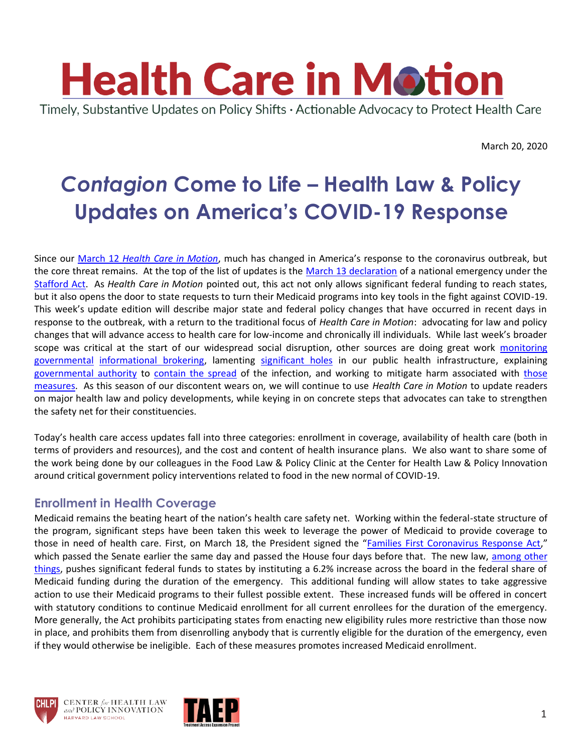

March 20, 2020

# **Contagion Come to Life - Health Law & Policy Updates on America's COVID-19 Response**

Since our March 12 *[Health Care in Motion](https://www.chlpi.org/wp-content/uploads/2013/12/HCIM_3_12_20.pdf)*, much has changed in America's response to the coronavirus outbreak, but the core threat remains. At the top of the list of updates is the [March 13 declaration](https://www.whitehouse.gov/briefings-statements/letter-president-donald-j-trump-emergency-determination-stafford-act/) of a national emergency under the [Stafford Act.](https://www.law.cornell.edu/uscode/text/42/5121) As *Health Care in Motion* pointed out, this act not only allows significant federal funding to reach states, but it also opens the door to state requests to turn their Medicaid programs into key tools in the fight against COVID-19. This week's update edition will describe major state and federal policy changes that have occurred in recent days in response to the outbreak, with a return to the traditional focus of *Health Care in Motion*: advocating for law and policy changes that will advance access to health care for low-income and chronically ill individuals. While last week's broader scope was critical at the start of our widespread social disruption, other sources are doing great work monitoring [governmental](https://www.washingtonpost.com/politics/2020/03/14/tracking-trumps-false-or-misleading-coronavirus-claims/) [informational brokering,](https://www.nbcnews.com/politics/donald-trump/photo-trump-remarks-shows-corona-crossed-out-replaced-chinese-virus-n1164111?fbclid=IwAR39T8yG5bXfMH7FF6PG0VVqdDCwlBsDBLFeiHwStEJFu8Rsi9Q9ZKvkUUw) lamenting [significant holes](https://www.youtube.com/watch?v=6Af6b_wyiwI&fbclid=IwAR0D-ZHmu5QPfHNBDJmBS53C-puD3A9e7X9SCo802jKuBhlUFTPHbG5MhGo) in our public health infrastructure, explaining [governmental authority](https://jamanetwork.com/journals/jama/fullarticle/2761556) to [contain the spread](https://theincidentaleconomist.com/wordpress/emergency-powers-in-michigan/) of the infection, and working to mitigate harm associated with [those](https://theincidentaleconomist.com/wordpress/is-closing-the-schools-a-good-idea/)  [measures.](https://theincidentaleconomist.com/wordpress/is-closing-the-schools-a-good-idea/) As this season of our discontent wears on, we will continue to use *Health Care in Motion* to update readers on major health law and policy developments, while keying in on concrete steps that advocates can take to strengthen the safety net for their constituencies.

Today's health care access updates fall into three categories: enrollment in coverage, availability of health care (both in terms of providers and resources), and the cost and content of health insurance plans. We also want to share some of the work being done by our colleagues in the Food Law & Policy Clinic at the Center for Health Law & Policy Innovation around critical government policy interventions related to food in the new normal of COVID-19.

## **Enrollment in Health Coverage**

Medicaid remains the beating heart of the nation's health care safety net. Working within the federal-state structure of the program, significant steps have been taken this week to leverage the power of Medicaid to provide coverage to those in need of health care. First, on March 18, the President signed the "[Families First Coronavirus Response Act](https://www.congress.gov/bill/116th-congress/house-bill/6201/actions)," which passed the Senate earlier the same day and passed the House four days before that. The new law, among other [things,](https://www.npr.org/2020/03/19/818322136/heres-what-is-in-the-families-first-coronavirus-aid-package-trump-approved) pushes significant federal funds to states by instituting a 6.2% increase across the board in the federal share of Medicaid funding during the duration of the emergency. This additional funding will allow states to take aggressive action to use their Medicaid programs to their fullest possible extent. These increased funds will be offered in concert with statutory conditions to continue Medicaid enrollment for all current enrollees for the duration of the emergency. More generally, the Act prohibits participating states from enacting new eligibility rules more restrictive than those now in place, and prohibits them from disenrolling anybody that is currently eligible for the duration of the emergency, even if they would otherwise be ineligible. Each of these measures promotes increased Medicaid enrollment.





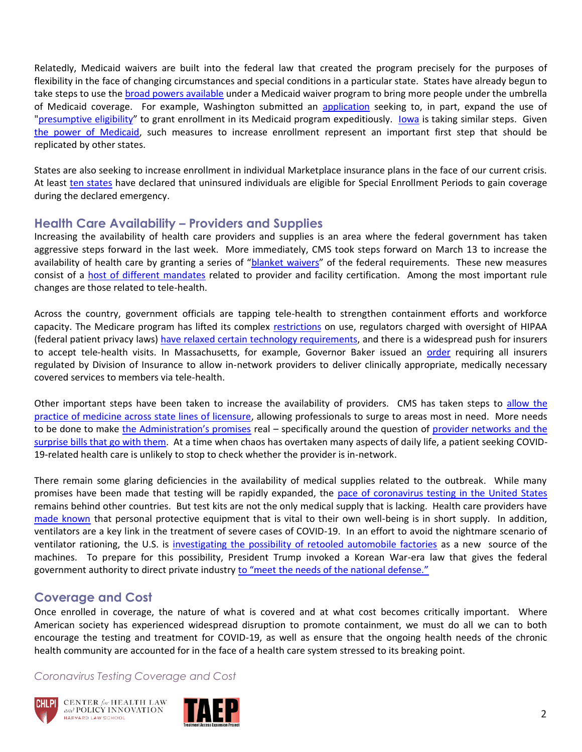Relatedly, Medicaid waivers are built into the federal law that created the program precisely for the purposes of flexibility in the face of changing circumstances and special conditions in a particular state. States have already begun to take steps to use th[e broad powers available](https://www.kff.org/medicaid/fact-sheet/a-comparison-of-the-seventeen-approved-katrina/) under a Medicaid waiver program to bring more people under the umbrella of Medicaid coverage. For example, Washington submitted an [application](https://www.hca.wa.gov/assets/WA-1135-waiver-request.pdf) seeking to, in part, expand the use of ["presumptive eligibility](https://www.medicaid.gov/state-resource-center/disaster-response-toolkit/state-plan-flexibilities/index.html)" to grant enrollment in its Medicaid program expeditiously. [Iowa](https://dhs.iowa.gov/sites/default/files/DHS_COVID19_MedicaidResponse.pdf?031820201730&fbclid=IwAR2fRtKYc8zLwCrI-kAzyJGuP12o9ZZxnRmTehIpzxCI-GNmiF_HfhBzZWY) is taking similar steps. Given [the power of Medicaid,](https://healthlaw.org/wp-content/uploads/2020/03/Overview-on-Using-Medicaid-to-Respond-to-COVID-19_Leo-Cuello.pdf) such measures to increase enrollment represent an important first step that should be replicated by other states.

States are also seeking to increase enrollment in individual Marketplace insurance plans in the face of our current crisis. At least [ten states](http://www.healthinsurance.org/special-enrollment-guide/exceptional-circumstances-for-special-enrollment/) have declared that uninsured individuals are eligible for Special Enrollment Periods to gain coverage during the declared emergency.

## **Health Care Availability – Providers and Supplies**

Increasing the availability of health care providers and supplies is an area where the federal government has taken aggressive steps forward in the last week. More immediately, CMS took steps forward on March 13 to increase the availability of health care by granting a series of "[blanket waivers](https://www.cms.gov/newsroom/press-releases/cms-takes-action-nationwide-aggressively-respond-coronavirus-national-emergency)" of the federal requirements. These new measures consist of a [host of different mandates](https://www.cms.gov/files/document/covid19-emergency-declaration-health-care-providers-fact-sheet.pdf) related to provider and facility certification. Among the most important rule changes are those related to tele-health.

Across the country, government officials are tapping tele-health to strengthen containment efforts and workforce capacity. The Medicare program has lifted its complex [restrictions](https://www.cms.gov/newsroom/fact-sheets/medicare-telemedicine-health-care-provider-fact-sheet) on use, regulators charged with oversight of HIPAA (federal patient privacy laws) [have relaxed certain technology requirements,](https://www.hhs.gov/hipaa/for-professionals/special-topics/emergency-preparedness/notification-enforcement-discretion-telehealth/index.html) and there is a widespread push for insurers to accept tele-health visits. In Massachusetts, for example, Governor Baker issued an [order](https://www.mass.gov/doc/march-15-2020-telehealth-order/download) requiring all insurers regulated by Division of Insurance to allow in-network providers to deliver clinically appropriate, medically necessary covered services to members via tele-health.

Other important steps have been taken to increase the availability of providers. CMS has taken steps to [allow the](https://www.phe.gov/emergency/news/healthactions/section1135/Pages/covid19-13March20.aspx)  [practice of medicine across state lines of licensure,](https://www.phe.gov/emergency/news/healthactions/section1135/Pages/covid19-13March20.aspx) allowing professionals to surge to areas most in need. More needs to be done to make [the Administration's promises](https://www.nytimes.com/2020/03/11/us/politics/trump-coronavirus-speech.html) real – specifically around the question of provider networks and the [surprise bills that go with them.](https://www.nytimes.com/2020/03/15/opinion/surprise-billing-coronavirus-.html) At a time when chaos has overtaken many aspects of daily life, a patient seeking COVID-19-related health care is unlikely to stop to check whether the provider is in-network.

There remain some glaring deficiencies in the availability of medical supplies related to the outbreak. While many promises have been made that testing will be rapidly expanded, the [pace of coronavirus testing in the United States](https://covidtracking.com/us-daily/) remains behind other countries. But test kits are not the only medical supply that is lacking. Health care providers have [made known](https://www.nytimes.com/2020/03/19/health/coronavirus-masks-shortage.html?action=click&module=Spotlight&pgtype=Homepage) that personal protective equipment that is vital to their own well-being is in short supply. In addition, ventilators are a key link in the treatment of severe cases of COVID-19. In an effort to avoid the nightmare scenario of ventilator rationing, the U.S. is [investigating the possibility of retooled automobile factories](https://www.npr.org/sections/coronavirus-live-updates/2020/03/19/818402194/automakers-could-retool-to-make-ventilators) as a new source of the machines. To prepare for this possibility, President Trump invoked a Korean War-era law that gives the federal government authority to direct private industry [to "meet the needs of the national defense."](https://www.militarytimes.com/news/your-military/2020/03/19/what-exactly-is-the-defense-production-act/)

## **Coverage and Cost**

Once enrolled in coverage, the nature of what is covered and at what cost becomes critically important. Where American society has experienced widespread disruption to promote containment, we must do all we can to both encourage the testing and treatment for COVID-19, as well as ensure that the ongoing health needs of the chronic health community are accounted for in the face of a health care system stressed to its breaking point.

*Coronavirus Testing Coverage and Cost*



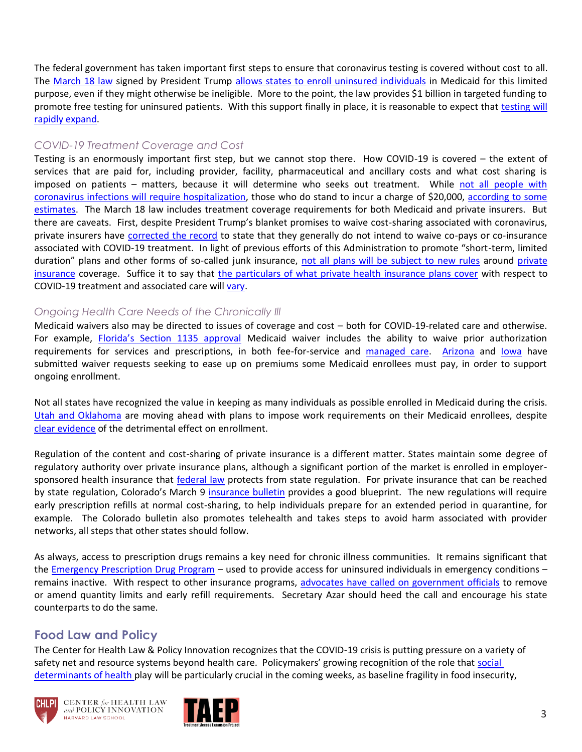The federal government has taken important first steps to ensure that coronavirus testing is covered without cost to all. The [March 18 law](https://nationalhealthcouncil.org/wp-content/uploads/2020/03/NHC-Overview-of-Coronavirus-Legislation-as-of-3.18.pdf) signed by President Trump [allows states to enroll uninsured individuals](https://www.healthaffairs.org/do/10.1377/hblog20200318.858880/full/) in Medicaid for this limited purpose, even if they might otherwise be ineligible. More to the point, the law provides \$1 billion in targeted funding to promote free testing for uninsured patients. With this support finally in place, it is reasonable to expect that testing will [rapidly expand.](https://www.bostonglobe.com/2020/03/19/metro/baker-says-enormous-increase-coronavirus-testing-is-its-way/)

#### *COVID-19 Treatment Coverage and Cost*

Testing is an enormously important first step, but we cannot stop there. How COVID-19 is covered – the extent of services that are paid for, including provider, facility, pharmaceutical and ancillary costs and what cost sharing is imposed on patients – matters, because it will determine who seeks out treatment. While [not all people with](https://twitter.com/smart_MS3/status/1240786956579192834?s=20)  [coronavirus infections will require hospitalization,](https://twitter.com/smart_MS3/status/1240786956579192834?s=20) those who do stand to incur a charge of \$20,000, [according to some](file:///C:/Users/rgreenwa/AppData/Local/Microsoft/Windows/INetCache/Content.Outlook/W8LK1NLQ/I.%09https:/www.axios.com/coronavirus-treatment-hospitals-cost-congress-waiver-9d1d69e7-d2ec-4457-b3a9-d4132422666d.html)  [estimates.](file:///C:/Users/rgreenwa/AppData/Local/Microsoft/Windows/INetCache/Content.Outlook/W8LK1NLQ/I.%09https:/www.axios.com/coronavirus-treatment-hospitals-cost-congress-waiver-9d1d69e7-d2ec-4457-b3a9-d4132422666d.html) The March 18 law includes treatment coverage requirements for both Medicaid and private insurers. But there are caveats. First, despite President Trump's blanket promises to waive cost-sharing associated with coronavirus, private insurers have [corrected the record](https://www.commondreams.org/news/2020/03/12/insurance-industry-corrects-trump-actually-were-only-waiving-copays-coronavirus) to state that they generally do not intend to waive co-pays or co-insurance associated with COVID-19 treatment. In light of previous efforts of this Administration to promote "short-term, limited duration" plans and other forms of so-called junk insurance, [not all plans will be subject to new rules](https://www.healthaffairs.org/do/10.1377/hblog20200318.858880/full/) around private [insurance](https://www.asco.org/practice-policy/policy-issues-statements/asco-in-action/new-resource-overview-state-and-private) coverage. Suffice it to say that [the particulars of what private health insurance plans cover](https://www.kff.org/private-insurance/issue-brief/private-health-coverage-of-covid-19-key-facts-and-issues/) with respect to COVID-19 treatment and associated care wil[l vary.](https://www.ahip.org/health-insurance-providers-respond-to-coronavirus-covid-19/)

#### *Ongoing Health Care Needs of the Chronically Ill*

Medicaid waivers also may be directed to issues of coverage and cost – both for COVID-19-related care and otherwise. For example, [Florida's Section 1135 approval](https://www.medicaid.gov/state-resource-center/disaster-response-toolkit/federal-disaster-resources/index.html) Medicaid waiver includes the ability to waive prior authorization requirements for services and prescriptions, in both fee-for-service and [managed care.](https://www.medicaid.gov/state-resource-center/downloads/mac-learning-collaboratives/medicaid-chip-inventory.pdf) [Arizona](https://azahcccs.gov/Resources/Downloads/1115Waiver/AZ_RequestForCOVID_19_EmergencyAuthorities_03172020.pdf?fbclid=IwAR1DLs4fWqGkL2oMb7le56W5NIEuaKJf8wynqSiXaaFMsOo5vxGB_n7h9B8) and [Iowa](https://dhs.iowa.gov/sites/default/files/DHS_COVID19_MedicaidResponse.pdf?031820201730&fbclid=IwAR2fRtKYc8zLwCrI-kAzyJGuP12o9ZZxnRmTehIpzxCI-GNmiF_HfhBzZWY) have submitted waiver requests seeking to ease up on premiums some Medicaid enrollees must pay, in order to support ongoing enrollment.

Not all states have recognized the value in keeping as many individuals as possible enrolled in Medicaid during the crisis. [Utah and Oklahoma](https://www.modernhealthcare.com/medicaid/gop-led-states-diverge-easing-medicaid-access-during-covid-19) are moving ahead with plans to impose work requirements on their Medicaid enrollees, despite [clear evidence](https://healthlaw.org/wp-content/uploads/2020/02/Gresham-v.-Azar-DC-Circuit-Ruling-Feb-14.pdf) of the detrimental effect on enrollment.

Regulation of the content and cost-sharing of private insurance is a different matter. States maintain some degree of regulatory authority over private insurance plans, although a significant portion of the market is enrolled in employersponsored health insurance that [federal law](https://www.dol.gov/general/topic/health-plans/erisa) protects from state regulation. For private insurance that can be reached by state regulation, Colorado's March 9 [insurance bulletin](https://drive.google.com/file/d/1_9Z6CVhzAxNNxUWBKeAfVHgfr3mXQB_T/view) provides a good blueprint. The new regulations will require early prescription refills at normal cost-sharing, to help individuals prepare for an extended period in quarantine, for example. The Colorado bulletin also promotes telehealth and takes steps to avoid harm associated with provider networks, all steps that other states should follow.

As always, access to prescription drugs remains a key need for chronic illness communities. It remains significant that the [Emergency Prescription Drug Program](https://www.phe.gov/Preparedness/planning/epap/Pages/default.aspx) – used to provide access for uninsured individuals in emergency conditions – remains inactive. With respect to other insurance programs, [advocates have called on government officials](https://www.chlpi.org/wp-content/uploads/2013/12/COVID-Rx-Access-Letter-HHCAWG-and-RWWG-Final.pdf) to remove or amend quantity limits and early refill requirements. Secretary Azar should heed the call and encourage his state counterparts to do the same.

## **Food Law and Policy**

The Center for Health Law & Policy Innovation recognizes that the COVID-19 crisis is putting pressure on a variety of safety net and resource systems beyond health care. Policymakers' growing recognition of the role that [social](https://www.healthlawlab.org/)  [determinants of health p](https://www.healthlawlab.org/)lay will be particularly crucial in the coming weeks, as baseline fragility in food insecurity,